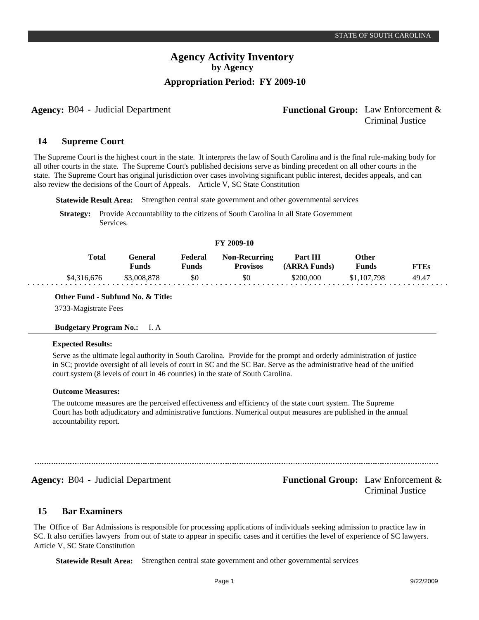# **Agency:** B04 - Judicial Department **Functional Group:** Law Enforcement & Criminal Justice

#### **Supreme Court 14**

The Supreme Court is the highest court in the state. It interprets the law of South Carolina and is the final rule-making body for all other courts in the state. The Supreme Court's published decisions serve as binding precedent on all other courts in the state. The Supreme Court has original jurisdiction over cases involving significant public interest, decides appeals, and can also review the decisions of the Court of Appeals. Article V, SC State Constitution

**Statewide Result Area:** Strengthen central state government and other governmental services

**Strategy:** Provide Accountability to the citizens of South Carolina in all State Government Services.

#### **FY 2009-10**

| Total       | General<br>Funds | Federal<br>Funds | <b>Non-Recurring</b><br><b>Provisos</b> | Part III<br>(ARRA Funds) | Other<br><b>Funds</b> | <b>FTEs</b> |
|-------------|------------------|------------------|-----------------------------------------|--------------------------|-----------------------|-------------|
| \$4,316,676 | \$3,008,878      | \$0              | \$0                                     | \$200,000                | \$1,107,798           | 49.47       |

## **Other Fund - Subfund No. & Title:**

3733-Magistrate Fees

#### **Budgetary Program No.:** I. A

#### **Expected Results:**

Serve as the ultimate legal authority in South Carolina. Provide for the prompt and orderly administration of justice in SC; provide oversight of all levels of court in SC and the SC Bar. Serve as the administrative head of the unified court system (8 levels of court in 46 counties) in the state of South Carolina.

#### **Outcome Measures:**

The outcome measures are the perceived effectiveness and efficiency of the state court system. The Supreme Court has both adjudicatory and administrative functions. Numerical output measures are published in the annual accountability report.

Agency: B04 - Judicial Department **Functional Group:** Law Enforcement & Criminal Justice

#### **Bar Examiners 15**

The Office of Bar Admissions is responsible for processing applications of individuals seeking admission to practice law in SC. It also certifies lawyers from out of state to appear in specific cases and it certifies the level of experience of SC lawyers. Article V, SC State Constitution

**Statewide Result Area:** Strengthen central state government and other governmental services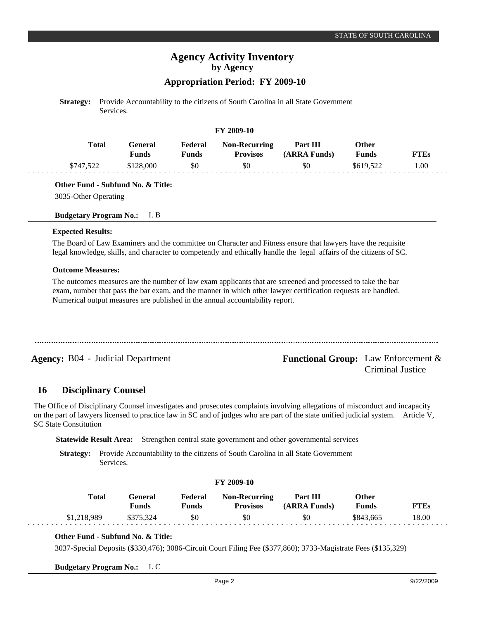# **Appropriation Period: FY 2009-10**

**Strategy:** Provide Accountability to the citizens of South Carolina in all State Government Services.

#### **FY 2009-10**

| <b>Total</b> | l <del>ì</del> eneral<br>Funds | Federal<br>Funds | <b>Non-Recurring</b><br><b>Provisos</b> | Part III<br>(ARRA Funds) | Other<br><b>Funds</b> | FTEs |
|--------------|--------------------------------|------------------|-----------------------------------------|--------------------------|-----------------------|------|
| \$747,522    | \$128,000                      | \$0              | \$0                                     | 50                       | \$619,522             | 00.1 |

**Other Fund - Subfund No. & Title:**

3035-Other Operating

#### **Budgetary Program No.:** I. B

#### **Expected Results:**

The Board of Law Examiners and the committee on Character and Fitness ensure that lawyers have the requisite legal knowledge, skills, and character to competently and ethically handle the legal affairs of the citizens of SC.

#### **Outcome Measures:**

The outcomes measures are the number of law exam applicants that are screened and processed to take the bar exam, number that pass the bar exam, and the manner in which other lawyer certification requests are handled. Numerical output measures are published in the annual accountability report.

**Agency:** B04 - Judicial Department **Functional Group:** Law Enforcement & Criminal Justice

#### **Disciplinary Counsel 16**

The Office of Disciplinary Counsel investigates and prosecutes complaints involving allegations of misconduct and incapacity on the part of lawyers licensed to practice law in SC and of judges who are part of the state unified judicial system. Article V, SC State Constitution

**Statewide Result Area:** Strengthen central state government and other governmental services

**Strategy:** Provide Accountability to the citizens of South Carolina in all State Government Services.

|             |                         |                  | T 1 2002-10                             |                                 |                       |             |  |
|-------------|-------------------------|------------------|-----------------------------------------|---------------------------------|-----------------------|-------------|--|
| Total       | General<br><b>Funds</b> | Federal<br>Funds | <b>Non-Recurring</b><br><b>Provisos</b> | <b>Part III</b><br>(ARRA Funds) | Other<br><b>Funds</b> | <b>FTEs</b> |  |
| \$1,218,989 | \$375.324               | \$0              | \$0                                     | \$0                             | \$843,665             | 18.00       |  |

**FY 2009-10**

## **Other Fund - Subfund No. & Title:**

3037-Special Deposits (\$330,476); 3086-Circuit Court Filing Fee (\$377,860); 3733-Magistrate Fees (\$135,329)

**Budgetary Program No.:** I. C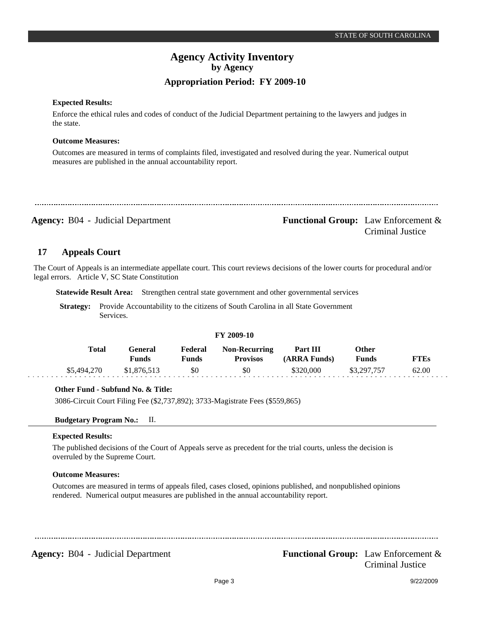## **Expected Results:**

Enforce the ethical rules and codes of conduct of the Judicial Department pertaining to the lawyers and judges in the state.

## **Outcome Measures:**

Outcomes are measured in terms of complaints filed, investigated and resolved during the year. Numerical output measures are published in the annual accountability report.

**Agency:** B04 - Judicial Department **Agency: Functional Group:** Law Enforcement & Criminal Justice

#### **Appeals Court 17**

The Court of Appeals is an intermediate appellate court. This court reviews decisions of the lower courts for procedural and/or legal errors. Article V, SC State Constitution

**Statewide Result Area:** Strengthen central state government and other governmental services

**Strategy:** Provide Accountability to the citizens of South Carolina in all State Government Services.

#### **FY 2009-10 General Funds**  \$1,876,513 **Other Funds** \$3,297,757 **Federal Funds**  \$0 **FTEs** 62.00 **Total**  \$5,494,270 **Non-Recurring Provisos** \$0 **Part III (ARRA Funds)** \$320,000

## **Other Fund - Subfund No. & Title:**

3086-Circuit Court Filing Fee (\$2,737,892); 3733-Magistrate Fees (\$559,865)

## **Budgetary Program No.:** II.

## **Expected Results:**

The published decisions of the Court of Appeals serve as precedent for the trial courts, unless the decision is overruled by the Supreme Court.

## **Outcome Measures:**

Outcomes are measured in terms of appeals filed, cases closed, opinions published, and nonpublished opinions rendered. Numerical output measures are published in the annual accountability report.

**Agency:** B04 - Judicial Department **Functional Group:** Law Enforcement & Criminal Justice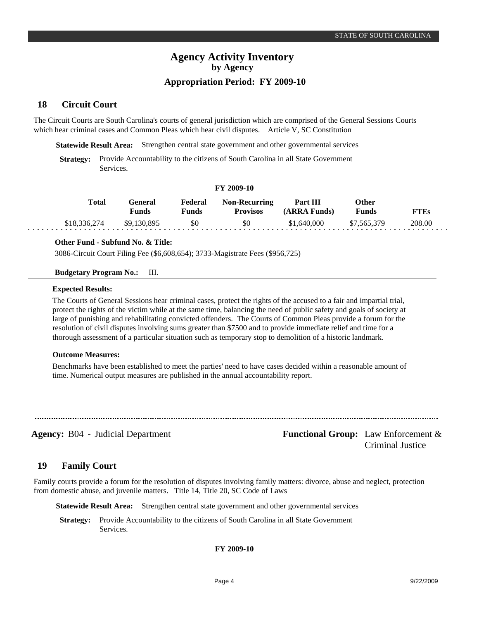#### **Circuit Court 18**

The Circuit Courts are South Carolina's courts of general jurisdiction which are comprised of the General Sessions Courts which hear criminal cases and Common Pleas which hear civil disputes. Article V, SC Constitution

**Statewide Result Area:** Strengthen central state government and other governmental services

**Strategy:** Provide Accountability to the citizens of South Carolina in all State Government Services.

#### **FY 2009-10**

| Total        | General<br><b>Funds</b> | Federal<br>Funds | <b>Non-Recurring</b><br><b>Provisos</b> | Part III<br>(ARRA Funds) | Other<br><b>Funds</b> | FTEs   |
|--------------|-------------------------|------------------|-----------------------------------------|--------------------------|-----------------------|--------|
| \$18,336,274 | \$9,130,895             | \$0              | \$0                                     | \$1,640,000              | \$7,565,379           | 208.00 |

#### **Other Fund - Subfund No. & Title:**

3086-Circuit Court Filing Fee (\$6,608,654); 3733-Magistrate Fees (\$956,725)

#### **Budgetary Program No.:** III.

#### **Expected Results:**

The Courts of General Sessions hear criminal cases, protect the rights of the accused to a fair and impartial trial, protect the rights of the victim while at the same time, balancing the need of public safety and goals of society at large of punishing and rehabilitating convicted offenders. The Courts of Common Pleas provide a forum for the resolution of civil disputes involving sums greater than \$7500 and to provide immediate relief and time for a thorough assessment of a particular situation such as temporary stop to demolition of a historic landmark.

## **Outcome Measures:**

Benchmarks have been established to meet the parties' need to have cases decided within a reasonable amount of time. Numerical output measures are published in the annual accountability report.

**Agency:** B04 - Judicial Department **Functional Group:** Law Enforcement & Criminal Justice

#### **Family Court 19**

Family courts provide a forum for the resolution of disputes involving family matters: divorce, abuse and neglect, protection from domestic abuse, and juvenile matters. Title 14, Title 20, SC Code of Laws

**Statewide Result Area:** Strengthen central state government and other governmental services

**Strategy:** Provide Accountability to the citizens of South Carolina in all State Government Services.

## **FY 2009-10**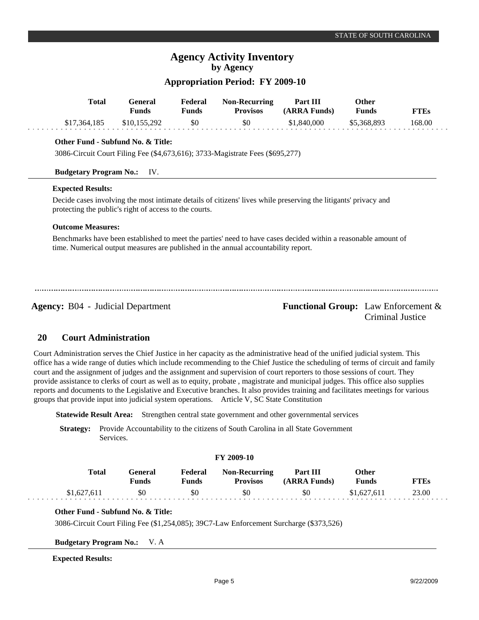# **Appropriation Period: FY 2009-10**

| <b>Total</b>                             | <b>General</b><br><b>Funds</b>                         | Federal<br><b>Funds</b> | <b>Non-Recurring</b><br><b>Provisos</b>                                            | Part III<br>(ARRA Funds)                                                                                        | <b>Other</b><br><b>Funds</b> | <b>FTEs</b> |
|------------------------------------------|--------------------------------------------------------|-------------------------|------------------------------------------------------------------------------------|-----------------------------------------------------------------------------------------------------------------|------------------------------|-------------|
| \$17,364,185                             | \$10,155,292                                           | \$0                     | \$0                                                                                | \$1,840,000                                                                                                     | \$5,368,893                  | 168.00      |
|                                          | Other Fund - Subfund No. & Title:                      |                         |                                                                                    |                                                                                                                 |                              |             |
|                                          |                                                        |                         | 3086-Circuit Court Filing Fee (\$4,673,616); 3733-Magistrate Fees (\$695,277)      |                                                                                                                 |                              |             |
| <b>Budgetary Program No.:</b>            | IV.                                                    |                         |                                                                                    |                                                                                                                 |                              |             |
| <b>Expected Results:</b>                 |                                                        |                         |                                                                                    |                                                                                                                 |                              |             |
|                                          | protecting the public's right of access to the courts. |                         |                                                                                    | Decide cases involving the most intimate details of citizens' lives while preserving the litigants' privacy and |                              |             |
| <b>Outcome Measures:</b>                 |                                                        |                         |                                                                                    |                                                                                                                 |                              |             |
|                                          |                                                        |                         | time. Numerical output measures are published in the annual accountability report. | Benchmarks have been established to meet the parties' need to have cases decided within a reasonable amount of  |                              |             |
|                                          |                                                        |                         |                                                                                    |                                                                                                                 |                              |             |
|                                          |                                                        |                         |                                                                                    |                                                                                                                 |                              |             |
| <b>Agency: B04 - Judicial Department</b> |                                                        |                         |                                                                                    | <b>Functional Group:</b> Law Enforcement &                                                                      |                              |             |
|                                          |                                                        |                         |                                                                                    |                                                                                                                 | Criminal Justice             |             |

#### **Court Administration 20**

Court Administration serves the Chief Justice in her capacity as the administrative head of the unified judicial system. This office has a wide range of duties which include recommending to the Chief Justice the scheduling of terms of circuit and family court and the assignment of judges and the assignment and supervision of court reporters to those sessions of court. They provide assistance to clerks of court as well as to equity, probate , magistrate and municipal judges. This office also supplies reports and documents to the Legislative and Executive branches. It also provides training and facilitates meetings for various groups that provide input into judicial system operations. Article V, SC State Constitution

**Statewide Result Area:** Strengthen central state government and other governmental services

**Strategy:** Provide Accountability to the citizens of South Carolina in all State Government Services.

## **FY 2009-10**

| Total       | General<br>Funds | Federal<br>Funds | <b>Non-Recurring</b><br><b>Provisos</b> | Part III<br>(ARRA Funds) | Other<br>Funds | <b>FTEs</b> |
|-------------|------------------|------------------|-----------------------------------------|--------------------------|----------------|-------------|
| \$1,627,611 | \$0              | \$0              | \$0                                     | \$0                      | \$1,627,611    | 23.00       |

## **Other Fund - Subfund No. & Title:**

3086-Circuit Court Filing Fee (\$1,254,085); 39C7-Law Enforcement Surcharge (\$373,526)

**Budgetary Program No.:** V. A

## **Expected Results:**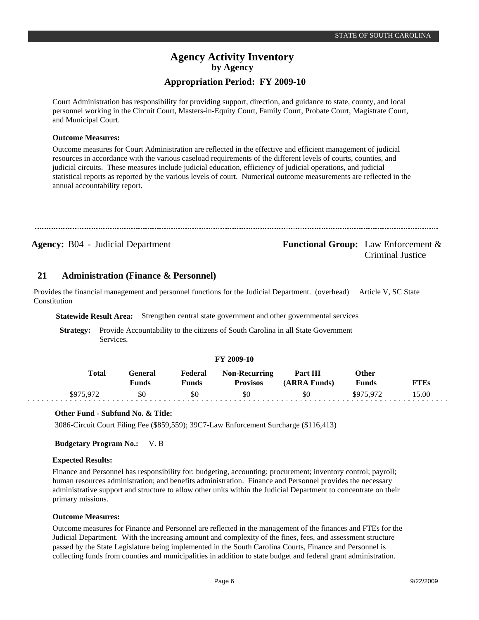## **Appropriation Period: FY 2009-10**

Court Administration has responsibility for providing support, direction, and guidance to state, county, and local personnel working in the Circuit Court, Masters-in-Equity Court, Family Court, Probate Court, Magistrate Court, and Municipal Court.

#### **Outcome Measures:**

Outcome measures for Court Administration are reflected in the effective and efficient management of judicial resources in accordance with the various caseload requirements of the different levels of courts, counties, and judicial circuits. These measures include judicial education, efficiency of judicial operations, and judicial statistical reports as reported by the various levels of court. Numerical outcome measurements are reflected in the annual accountability report.

| <b>Agency: B04 - Judicial Department</b> | <b>Functional Group:</b> Law Enforcement $\&$<br>Criminal Justice |
|------------------------------------------|-------------------------------------------------------------------|

#### **Administration (Finance & Personnel) 21**

Provides the financial management and personnel functions for the Judicial Department. (overhead) Article V, SC State Constitution

**Statewide Result Area:** Strengthen central state government and other governmental services

**Strategy:** Provide Accountability to the citizens of South Carolina in all State Government Services.

#### **FY 2009-10**

| <b>Total</b> | General<br>Funds | Federal<br>Funds | <b>Non-Recurring</b><br><b>Provisos</b> | Part III<br>(ARRA Funds) | Other<br><b>Funds</b> | <b>FTEs</b> |
|--------------|------------------|------------------|-----------------------------------------|--------------------------|-----------------------|-------------|
| \$975,972    | 80               | \$0              | \$0                                     | \$0                      | \$975.972             | 15.00       |

## **Other Fund - Subfund No. & Title:**

3086-Circuit Court Filing Fee (\$859,559); 39C7-Law Enforcement Surcharge (\$116,413)

## **Budgetary Program No.:** V. B

#### **Expected Results:**

Finance and Personnel has responsibility for: budgeting, accounting; procurement; inventory control; payroll; human resources administration; and benefits administration. Finance and Personnel provides the necessary administrative support and structure to allow other units within the Judicial Department to concentrate on their primary missions.

#### **Outcome Measures:**

Outcome measures for Finance and Personnel are reflected in the management of the finances and FTEs for the Judicial Department. With the increasing amount and complexity of the fines, fees, and assessment structure passed by the State Legislature being implemented in the South Carolina Courts, Finance and Personnel is collecting funds from counties and municipalities in addition to state budget and federal grant administration.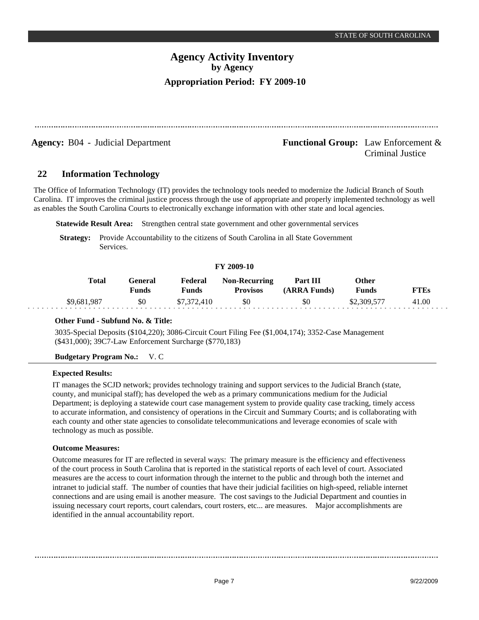**Agency:** B04 - Judicial Department **Agency: Functional Group:** Law Enforcement & Criminal Justice

#### **Information Technology 22**

The Office of Information Technology (IT) provides the technology tools needed to modernize the Judicial Branch of South Carolina. IT improves the criminal justice process through the use of appropriate and properly implemented technology as well as enables the South Carolina Courts to electronically exchange information with other state and local agencies.

**Statewide Result Area:** Strengthen central state government and other governmental services

**Strategy:** Provide Accountability to the citizens of South Carolina in all State Government Services.

#### **FY 2009-10**

| <b>Total</b> | General<br>Funds | Federal<br>Funds | <b>Non-Recurring</b><br><b>Provisos</b> | <b>Part III</b><br>(ARRA Funds) | Other<br>Funds | <b>FTEs</b> |
|--------------|------------------|------------------|-----------------------------------------|---------------------------------|----------------|-------------|
| \$9,681,987  | \$0              | \$7,372,410      | \$0                                     | \$0                             | \$2,309,577    | 41.00       |

## **Other Fund - Subfund No. & Title:**

3035-Special Deposits (\$104,220); 3086-Circuit Court Filing Fee (\$1,004,174); 3352-Case Management (\$431,000); 39C7-Law Enforcement Surcharge (\$770,183)

## **Budgetary Program No.:** V. C

## **Expected Results:**

. . . . .

IT manages the SCJD network; provides technology training and support services to the Judicial Branch (state, county, and municipal staff); has developed the web as a primary communications medium for the Judicial Department; is deploying a statewide court case management system to provide quality case tracking, timely access to accurate information, and consistency of operations in the Circuit and Summary Courts; and is collaborating with each county and other state agencies to consolidate telecommunications and leverage economies of scale with technology as much as possible.

## **Outcome Measures:**

Outcome measures for IT are reflected in several ways: The primary measure is the efficiency and effectiveness of the court process in South Carolina that is reported in the statistical reports of each level of court. Associated measures are the access to court information through the internet to the public and through both the internet and intranet to judicial staff. The number of counties that have their judicial facilities on high-speed, reliable internet connections and are using email is another measure. The cost savings to the Judicial Department and counties in issuing necessary court reports, court calendars, court rosters, etc... are measures. Major accomplishments are identified in the annual accountability report.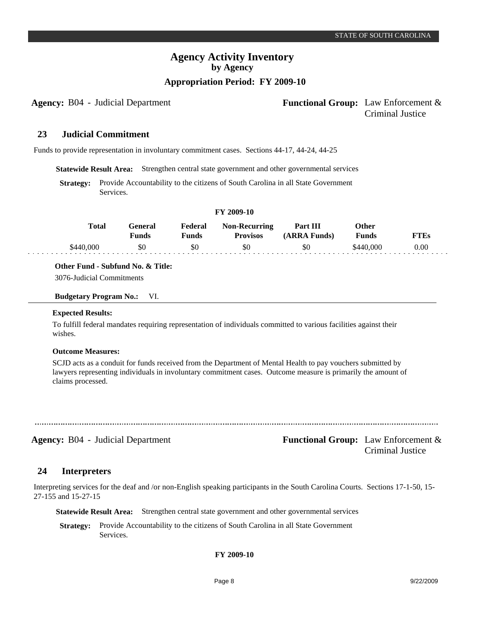# **Appropriation Period: FY 2009-10**

# **Agency:** B04 - Judicial Department **Functional Group:** Law Enforcement & Criminal Justice

#### **Judicial Commitment 23**

Funds to provide representation in involuntary commitment cases. Sections 44-17, 44-24, 44-25

**Statewide Result Area:** Strengthen central state government and other governmental services

**Strategy:** Provide Accountability to the citizens of South Carolina in all State Government Services.

#### **FY 2009-10**

| Total     | Feneral<br>Funds | Federal<br>Funds | <b>Non-Recurring</b><br><b>Provisos</b> | Part III<br>(ARRA Funds) | Other<br><b>Funds</b> | "TEs     |
|-----------|------------------|------------------|-----------------------------------------|--------------------------|-----------------------|----------|
| \$440,000 | \$0              |                  | \$0                                     | \$C                      | 000<br>:440           | $0.00\,$ |

**Other Fund - Subfund No. & Title:**

3076-Judicial Commitments

**Budgetary Program No.:** VI.

#### **Expected Results:**

To fulfill federal mandates requiring representation of individuals committed to various facilities against their wishes.

#### **Outcome Measures:**

SCJD acts as a conduit for funds received from the Department of Mental Health to pay vouchers submitted by lawyers representing individuals in involuntary commitment cases. Outcome measure is primarily the amount of claims processed.

**Agency:** B04 - Judicial Department **Agency: Functional Group:** Law Enforcement & Criminal Justice

#### **Interpreters 24**

Interpreting services for the deaf and /or non-English speaking participants in the South Carolina Courts. Sections 17-1-50, 15- 27-155 and 15-27-15

**Statewide Result Area:** Strengthen central state government and other governmental services

**Strategy:** Provide Accountability to the citizens of South Carolina in all State Government Services.

## **FY 2009-10**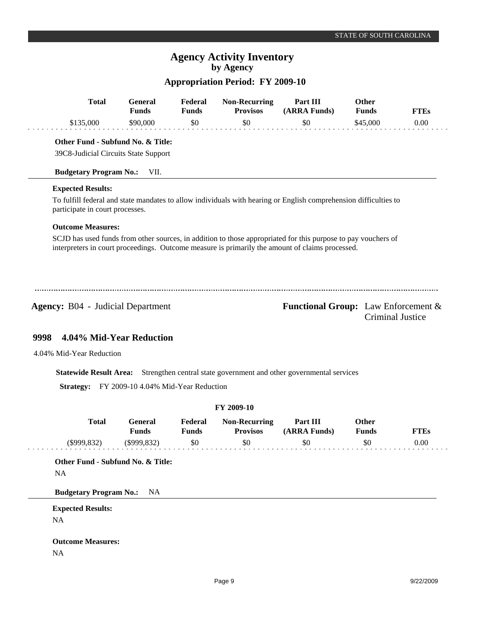# **Appropriation Period: FY 2009-10**

| <b>Total</b>                                                              | <b>General</b><br><b>Funds</b>      | Federal<br><b>Funds</b> | <b>Non-Recurring</b><br><b>Provisos</b>                     | Part III<br>(ARRA Funds)                                                                                                                                                                                         | Other<br><b>Funds</b> | <b>FTEs</b>             |
|---------------------------------------------------------------------------|-------------------------------------|-------------------------|-------------------------------------------------------------|------------------------------------------------------------------------------------------------------------------------------------------------------------------------------------------------------------------|-----------------------|-------------------------|
| \$135,000                                                                 | \$90,000                            | \$0                     | \$0                                                         | \$0                                                                                                                                                                                                              | \$45,000              | 0.00                    |
| Other Fund - Subfund No. & Title:<br>39C8-Judicial Circuits State Support |                                     |                         |                                                             |                                                                                                                                                                                                                  |                       |                         |
| <b>Budgetary Program No.:</b>                                             | VII.                                |                         |                                                             |                                                                                                                                                                                                                  |                       |                         |
| <b>Expected Results:</b>                                                  |                                     |                         |                                                             |                                                                                                                                                                                                                  |                       |                         |
| participate in court processes.                                           |                                     |                         |                                                             | To fulfill federal and state mandates to allow individuals with hearing or English comprehension difficulties to                                                                                                 |                       |                         |
| <b>Outcome Measures:</b>                                                  |                                     |                         |                                                             |                                                                                                                                                                                                                  |                       |                         |
|                                                                           |                                     |                         |                                                             | SCJD has used funds from other sources, in addition to those appropriated for this purpose to pay vouchers of<br>interpreters in court proceedings. Outcome measure is primarily the amount of claims processed. |                       |                         |
| <b>Agency: B04 - Judicial Department</b>                                  |                                     |                         |                                                             | <b>Functional Group:</b> Law Enforcement &                                                                                                                                                                       |                       | <b>Criminal Justice</b> |
| 4.04% Mid-Year Reduction<br>9998                                          |                                     |                         |                                                             |                                                                                                                                                                                                                  |                       |                         |
|                                                                           |                                     |                         |                                                             |                                                                                                                                                                                                                  |                       |                         |
| 4.04% Mid-Year Reduction                                                  |                                     |                         |                                                             |                                                                                                                                                                                                                  |                       |                         |
| <b>Statewide Result Area:</b>                                             |                                     |                         |                                                             | Strengthen central state government and other governmental services                                                                                                                                              |                       |                         |
| <b>Strategy:</b>                                                          | FY 2009-10 4.04% Mid-Year Reduction |                         |                                                             |                                                                                                                                                                                                                  |                       |                         |
|                                                                           |                                     |                         | FY 2009-10                                                  |                                                                                                                                                                                                                  |                       |                         |
| $T_{\rm{odd}}$ i                                                          | $C_{\text{meas}}$                   |                         | $\mathbf{E}$ and $\mathbf{V}$ and $\mathbf{D}$ accounts and | $\mathbf{D}_{\text{out}}$ iii                                                                                                                                                                                    | $\Omega$              |                         |

| <b>Total</b>                      | <b>General</b><br><b>Funds</b> | Federal<br><b>Funds</b> | <b>Non-Recurring</b><br><b>Provisos</b> | Part III<br>(ARRA Funds) | <b>Other</b><br><b>Funds</b> | <b>FTEs</b> |
|-----------------------------------|--------------------------------|-------------------------|-----------------------------------------|--------------------------|------------------------------|-------------|
| $(\$999,832)$                     | $(\$999,832)$                  | \$0                     | \$0                                     | \$0                      | \$0                          | 0.00        |
| Other Fund - Subfund No. & Title: |                                |                         |                                         |                          |                              |             |
| <b>NA</b>                         |                                |                         |                                         |                          |                              |             |
|                                   | NA.                            |                         |                                         |                          |                              |             |
| <b>Budgetary Program No.:</b>     |                                |                         |                                         |                          |                              |             |
| <b>Expected Results:</b>          |                                |                         |                                         |                          |                              |             |

**Outcome Measures:** NA